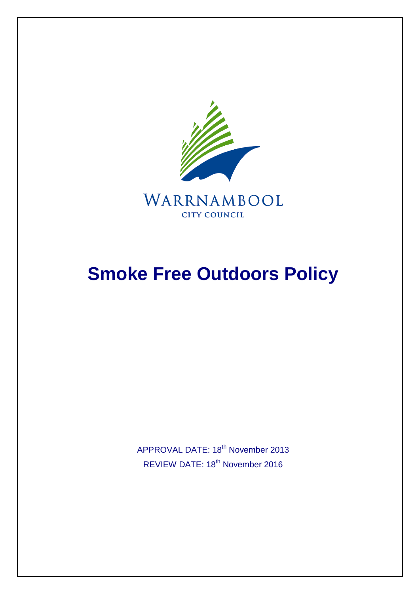

WARRNAMBOOL **CITY COUNCIL** 

# **Smoke Free Outdoors Policy**

APPROVAL DATE: 18<sup>th</sup> November 2013 REVIEW DATE: 18th November 2016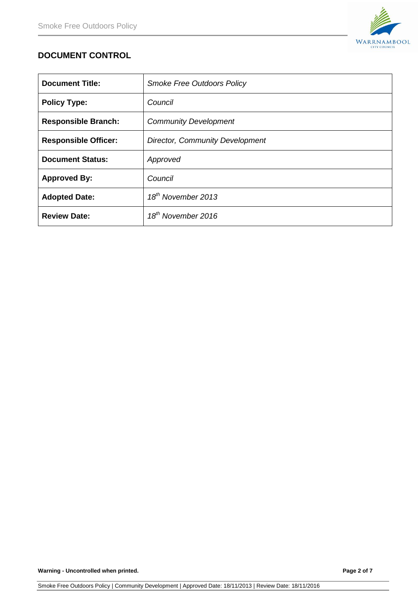

# **DOCUMENT CONTROL**

| <b>Document Title:</b>      | <b>Smoke Free Outdoors Policy</b>      |
|-----------------------------|----------------------------------------|
| <b>Policy Type:</b>         | Council                                |
| <b>Responsible Branch:</b>  | <b>Community Development</b>           |
| <b>Responsible Officer:</b> | <b>Director, Community Development</b> |
| <b>Document Status:</b>     | Approved                               |
| <b>Approved By:</b>         | Council                                |
| <b>Adopted Date:</b>        | $18^{th}$ November 2013                |
| <b>Review Date:</b>         | $18th$ November 2016                   |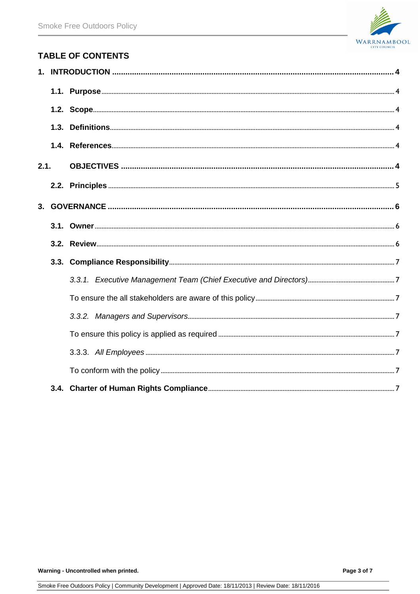

# **TABLE OF CONTENTS**

| 2.1. |  |  |  |
|------|--|--|--|
|      |  |  |  |
|      |  |  |  |
|      |  |  |  |
|      |  |  |  |
|      |  |  |  |
|      |  |  |  |
|      |  |  |  |
|      |  |  |  |
|      |  |  |  |
|      |  |  |  |
|      |  |  |  |
|      |  |  |  |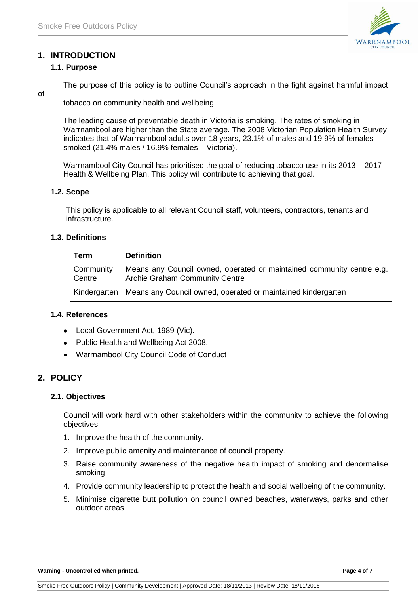

# <span id="page-3-1"></span><span id="page-3-0"></span>**1. INTRODUCTION**

### **1.1. Purpose**

The purpose of this policy is to outline Council's approach in the fight against harmful impact

of

tobacco on community health and wellbeing.

The leading cause of preventable death in Victoria is smoking. The rates of smoking in Warrnambool are higher than the State average. The 2008 Victorian Population Health Survey indicates that of Warrnambool adults over 18 years, 23.1% of males and 19.9% of females smoked (21.4% males / 16.9% females – Victoria).

Warrnambool City Council has prioritised the goal of reducing tobacco use in its 2013 – 2017 Health & Wellbeing Plan. This policy will contribute to achieving that goal.

#### <span id="page-3-2"></span>**1.2. Scope**

This policy is applicable to all relevant Council staff, volunteers, contractors, tenants and infrastructure.

# <span id="page-3-3"></span>**1.3. Definitions**

| <b>Term</b>         | <b>Definition</b>                                                                                              |
|---------------------|----------------------------------------------------------------------------------------------------------------|
| Community<br>Centre | Means any Council owned, operated or maintained community centre e.g.<br><b>Archie Graham Community Centre</b> |
|                     | Kindergarten   Means any Council owned, operated or maintained kindergarten                                    |

#### <span id="page-3-4"></span>**1.4. References**

- Local Government Act, 1989 (Vic).
- Public Health and Wellbeing Act 2008.
- Warrnambool City Council Code of Conduct

# **2. POLICY**

#### <span id="page-3-5"></span>**2.1. Objectives**

Council will work hard with other stakeholders within the community to achieve the following objectives:

- 1. Improve the health of the community.
- 2. Improve public amenity and maintenance of council property.
- 3. Raise community awareness of the negative health impact of smoking and denormalise smoking.
- 4. Provide community leadership to protect the health and social wellbeing of the community.
- 5. Minimise cigarette butt pollution on council owned beaches, waterways, parks and other outdoor areas.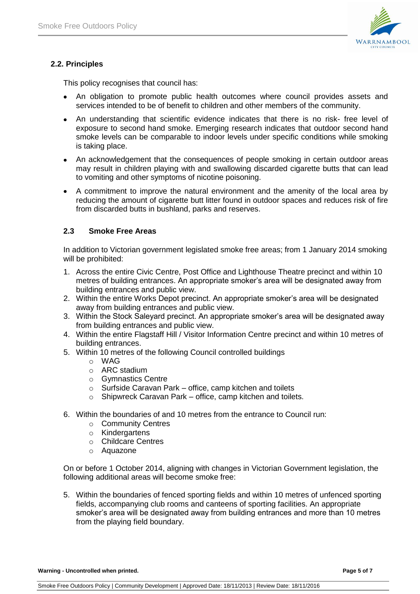

# <span id="page-4-0"></span>**2.2. Principles**

This policy recognises that council has:

- An obligation to promote public health outcomes where council provides assets and  $\bullet$ services intended to be of benefit to children and other members of the community.
- An understanding that scientific evidence indicates that there is no risk- free level of exposure to second hand smoke. Emerging research indicates that outdoor second hand smoke levels can be comparable to indoor levels under specific conditions while smoking is taking place.
- An acknowledgement that the consequences of people smoking in certain outdoor areas may result in children playing with and swallowing discarded cigarette butts that can lead to vomiting and other symptoms of nicotine poisoning.
- A commitment to improve the natural environment and the amenity of the local area by reducing the amount of cigarette butt litter found in outdoor spaces and reduces risk of fire from discarded butts in bushland, parks and reserves.

# **2.3 Smoke Free Areas**

In addition to Victorian government legislated smoke free areas; from 1 January 2014 smoking will be prohibited:

- 1. Across the entire Civic Centre, Post Office and Lighthouse Theatre precinct and within 10 metres of building entrances. An appropriate smoker's area will be designated away from building entrances and public view.
- 2. Within the entire Works Depot precinct. An appropriate smoker's area will be designated away from building entrances and public view.
- 3. Within the Stock Saleyard precinct. An appropriate smoker's area will be designated away from building entrances and public view.
- 4. Within the entire Flagstaff Hill / Visitor Information Centre precinct and within 10 metres of building entrances.
- 5. Within 10 metres of the following Council controlled buildings
	- o WAG
	- o ARC stadium
	- o Gymnastics Centre
	- o Surfside Caravan Park office, camp kitchen and toilets
	- o Shipwreck Caravan Park office, camp kitchen and toilets.
- 6. Within the boundaries of and 10 metres from the entrance to Council run:
	- o Community Centres
	- o Kindergartens
	- o Childcare Centres
	- o Aquazone

On or before 1 October 2014, aligning with changes in Victorian Government legislation, the following additional areas will become smoke free:

5. Within the boundaries of fenced sporting fields and within 10 metres of unfenced sporting fields, accompanying club rooms and canteens of sporting facilities. An appropriate smoker's area will be designated away from building entrances and more than 10 metres from the playing field boundary.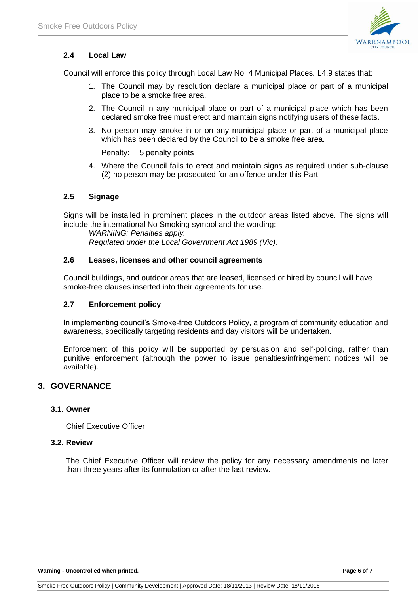

# **2.4 Local Law**

Council will enforce this policy through Local Law No. 4 Municipal Places*.* L4.9 states that:

- 1. The Council may by resolution declare a municipal place or part of a municipal place to be a smoke free area.
- 2. The Council in any municipal place or part of a municipal place which has been declared smoke free must erect and maintain signs notifying users of these facts.
- 3. No person may smoke in or on any municipal place or part of a municipal place which has been declared by the Council to be a smoke free area.

Penalty: 5 penalty points

4. Where the Council fails to erect and maintain signs as required under sub-clause (2) no person may be prosecuted for an offence under this Part.

# **2.5 Signage**

Signs will be installed in prominent places in the outdoor areas listed above. The signs will include the international No Smoking symbol and the wording:

*WARNING: Penalties apply. Regulated under the Local Government Act 1989 (Vic).*

#### **2.6 Leases, licenses and other council agreements**

Council buildings, and outdoor areas that are leased, licensed or hired by council will have smoke-free clauses inserted into their agreements for use.

#### **2.7 Enforcement policy**

In implementing council's Smoke-free Outdoors Policy, a program of community education and awareness, specifically targeting residents and day visitors will be undertaken.

Enforcement of this policy will be supported by persuasion and self-policing, rather than punitive enforcement (although the power to issue penalties/infringement notices will be available).

# <span id="page-5-0"></span>**3. GOVERNANCE**

#### <span id="page-5-1"></span>**3.1. Owner**

Chief Executive Officer

#### <span id="page-5-2"></span>**3.2. Review**

The Chief Executive Officer will review the policy for any necessary amendments no later than three years after its formulation or after the last review.

**Warning - Uncontrolled when printed. Page 6 of 7**